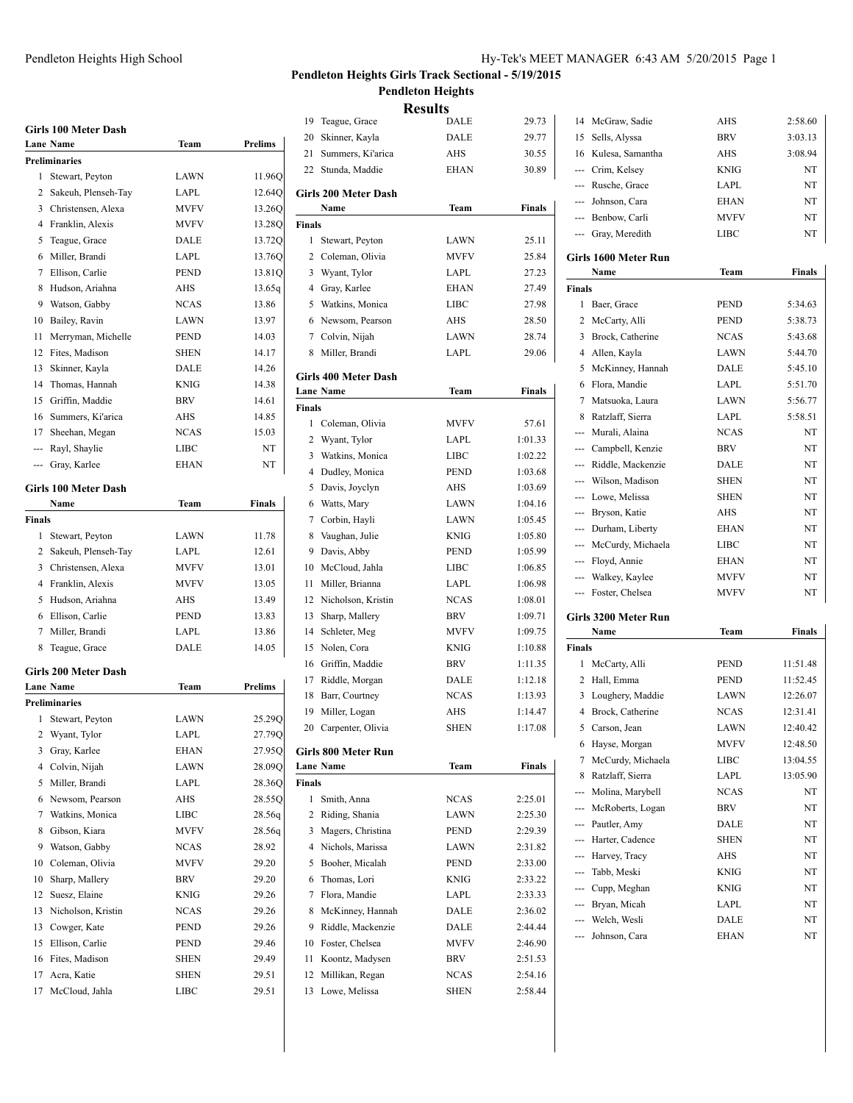### Pendleton Heights High School Hy-Tek's MEET MANAGER 6:43 AM 5/20/2015 Page 1

### **Pendleton Heights Girls Track Sectional - 5/19/2015 Pendleton Heights**

|        | <b>Girls 100 Meter Dash</b> |             |                |
|--------|-----------------------------|-------------|----------------|
|        | <b>Lane Name</b>            | Team        | Prelims        |
|        | <b>Preliminaries</b>        |             |                |
| 1      | Stewart, Peyton             | LAWN        | 11.96Q         |
|        | 2 Sakeuh, Plenseh-Tay       | LAPL        | 12.64Q         |
|        | 3 Christensen, Alexa        | <b>MVFV</b> | 13.26Q         |
|        | 4 Franklin, Alexis          | <b>MVFV</b> | 13.28Q         |
| 5      | Teague, Grace               | DALE        | 13.72Q         |
| 6      | Miller, Brandi              | LAPL        | 13.76Q         |
| 7      | Ellison, Carlie             | <b>PEND</b> | 13.81Q         |
| 8      | Hudson, Ariahna             | AHS         | 13.65q         |
| 9      | Watson, Gabby               | <b>NCAS</b> | 13.86          |
| 10     | Bailey, Ravin               | LAWN        | 13.97          |
| 11     | Merryman, Michelle          | PEND        | 14.03          |
| 12     | Fites, Madison              | <b>SHEN</b> | 14.17          |
| 13     | Skinner, Kayla              | DALE        | 14.26          |
| 14     | Thomas, Hannah              | <b>KNIG</b> | 14.38          |
| 15     | Griffin, Maddie             | <b>BRV</b>  | 14.61          |
| 16     | Summers, Ki'arica           | AHS         | 14.85          |
| 17     | Sheehan, Megan              | <b>NCAS</b> | 15.03          |
|        | --- Rayl, Shaylie           | <b>LIBC</b> | NT             |
|        | --- Gray, Karlee            | <b>EHAN</b> | NT             |
|        | <b>Girls 100 Meter Dash</b> |             |                |
|        | Name                        | Team        | Finals         |
| Finals |                             |             |                |
|        | 1 Stewart, Peyton           | LAWN        | 11.78          |
|        | 2 Sakeuh, Plenseh-Tay       | LAPL        | 12.61          |
|        | 3 Christensen, Alexa        | <b>MVFV</b> | 13.01          |
|        | 4 Franklin, Alexis          | <b>MVFV</b> | 13.05          |
| 5      | Hudson, Ariahna             | AHS         | 13.49          |
|        |                             | <b>PEND</b> |                |
| 6<br>7 | Ellison, Carlie             |             | 13.83          |
|        | Miller, Brandi              | LAPL        | 13.86          |
| 8      | Teague, Grace               | DALE        | 14.05          |
|        | <b>Girls 200 Meter Dash</b> |             |                |
|        | Lane Name                   | Team        | <b>Prelims</b> |
|        | Preliminaries               |             |                |
| 1      | Stewart, Peyton             | LAWN        | 25.29Q         |
|        | 2 Wyant, Tylor              | LAPL        | 27.79Q         |
| 3      | Gray, Karlee                | EHAN        | 27.95Q         |
| 4      | Colvin, Nijah               | <b>LAWN</b> | 28.09Q         |
| 5      | Miller, Brandi              | LAPL        | 28.36Q         |
| 6      | Newsom, Pearson             | AHS         | 28.55Q         |
| 7      | Watkins, Monica             | LIBC        | 28.56q         |
| 8      | Gibson, Kiara               | MVFV        | 28.56q         |
| 9      | Watson, Gabby               | NCAS        | 28.92          |
| 10     | Coleman, Olivia             | MVFV        | 29.20          |
| 10     | Sharp, Mallery              | <b>BRV</b>  | 29.20          |
| 12     | Suesz, Elaine               | KNIG        | 29.26          |
| 13     | Nicholson, Kristin          | <b>NCAS</b> | 29.26          |
| 13     | Cowger, Kate                | <b>PEND</b> | 29.26          |
| 15     | Ellison, Carlie             | PEND        | 29.46          |
| 16     | Fites, Madison              | SHEN        | 29.49          |
| 17     | Acra, Katie                 | <b>SHEN</b> | 29.51          |
| 17     | McCloud, Jahla              | LIBC        | 29.51          |
|        |                             |             |                |

|                | <b>Results</b>              |             |               |  |  |  |
|----------------|-----------------------------|-------------|---------------|--|--|--|
|                | 19 Teague, Grace            | <b>DALE</b> | 29.73         |  |  |  |
| 20             | Skinner, Kayla              | DALE        | 29.77         |  |  |  |
| 21             | Summers, Ki'arica           | <b>AHS</b>  | 30.55         |  |  |  |
|                | 22 Stunda, Maddie           | <b>EHAN</b> | 30.89         |  |  |  |
|                | Girls 200 Meter Dash        |             |               |  |  |  |
|                | Name                        | Team        | Finals        |  |  |  |
| Finals         |                             |             |               |  |  |  |
| 1              | Stewart, Peyton             | LAWN        | 25.11         |  |  |  |
|                | 2 Coleman, Olivia           | <b>MVFV</b> | 25.84         |  |  |  |
| 3              | Wyant, Tylor                | LAPL        | 27.23         |  |  |  |
|                | 4 Gray, Karlee              | <b>EHAN</b> | 27.49         |  |  |  |
|                | 5 Watkins, Monica           | LIBC        | 27.98         |  |  |  |
|                | 6 Newsom, Pearson           | AHS         | 28.50         |  |  |  |
|                | 7 Colvin, Nijah             | LAWN        | 28.74         |  |  |  |
|                | 8 Miller, Brandi            | LAPL        | 29.06         |  |  |  |
|                |                             |             |               |  |  |  |
|                | <b>Girls 400 Meter Dash</b> |             |               |  |  |  |
|                | <b>Lane Name</b>            | Team        | <b>Finals</b> |  |  |  |
| Finals         |                             |             |               |  |  |  |
| 1              | Coleman, Olivia             | MVFV        | 57.61         |  |  |  |
|                | 2 Wyant, Tylor              | LAPL        | 1:01.33       |  |  |  |
| 3              | Watkins, Monica             | <b>LIBC</b> | 1:02.22       |  |  |  |
| 4              | Dudley, Monica              | <b>PEND</b> | 1:03.68       |  |  |  |
| 5              | Davis, Joyclyn              | AHS         | 1:03.69       |  |  |  |
| 6              | Watts, Mary                 | LAWN        | 1:04.16       |  |  |  |
| 7              | Corbin, Hayli               | LAWN        | 1:05.45       |  |  |  |
| 8              | Vaughan, Julie              | KNIG        | 1:05.80       |  |  |  |
| 9              | Davis, Abby                 | <b>PEND</b> | 1:05.99       |  |  |  |
| 10             | McCloud, Jahla              | LIBC        | 1:06.85       |  |  |  |
| 11             | Miller, Brianna             | LAPL        | 1:06.98       |  |  |  |
| 12             | Nicholson, Kristin          | <b>NCAS</b> | 1:08.01       |  |  |  |
| 13             | Sharp, Mallery              | BRV         | 1:09.71       |  |  |  |
| 14             | Schleter, Meg               | MVFV        | 1:09.75       |  |  |  |
| 15             | Nolen, Cora                 | <b>KNIG</b> | 1:10.88       |  |  |  |
| 16             | Griffin, Maddie             | BRV         | 1:11.35       |  |  |  |
| 17             | Riddle, Morgan              | DALE        | 1:12.18       |  |  |  |
| 18             | Barr, Courtney              | <b>NCAS</b> | 1:13.93       |  |  |  |
| 19             | Miller, Logan               | AHS         | 1:14.47       |  |  |  |
|                | 20 Carpenter, Olivia        | SHEN        | 1:17.08       |  |  |  |
|                | Girls 800 Meter Run         |             |               |  |  |  |
|                | Lane Name                   | Team        | Finals        |  |  |  |
| <b>Finals</b>  |                             |             |               |  |  |  |
| 1              | Smith, Anna                 | <b>NCAS</b> | 2:25.01       |  |  |  |
| $\overline{2}$ | Riding, Shania              | LAWN        | 2:25.30       |  |  |  |
| 3              | Magers, Christina           | PEND        | 2:29.39       |  |  |  |
| 4              | Nichols, Marissa            | LAWN        | 2:31.82       |  |  |  |
| 5              | Booher, Micalah             | PEND        | 2:33.00       |  |  |  |
| 6              | Thomas, Lori                | KNIG        | 2:33.22       |  |  |  |
| 7              | Flora, Mandie               | LAPL        | 2:33.33       |  |  |  |
| 8              | McKinney, Hannah            | DALE        | 2:36.02       |  |  |  |
| 9              | Riddle, Mackenzie           | DALE        | 2:44.44       |  |  |  |
| 10             | Foster, Chelsea             | MVFV        | 2:46.90       |  |  |  |
| 11             | Koontz, Madysen             | BRV         | 2:51.53       |  |  |  |
| 12             | Millikan, Regan             | NCAS        | 2:54.16       |  |  |  |
| 13             | Lowe, Melissa               | SHEN        | 2:58.44       |  |  |  |
|                |                             |             |               |  |  |  |

| 14                                                                                             | McGraw, Sadie         | AHS         | 2:58.60       |
|------------------------------------------------------------------------------------------------|-----------------------|-------------|---------------|
| 15                                                                                             | Sells, Alyssa         | <b>BRV</b>  | 3:03.13       |
|                                                                                                | 16 Kulesa, Samantha   | AHS         | 3:08.94       |
|                                                                                                | --- Crim, Kelsey      | <b>KNIG</b> | NT            |
|                                                                                                | --- Rusche, Grace     | LAPL        | NT            |
|                                                                                                | --- Johnson, Cara     | <b>EHAN</b> | NT            |
|                                                                                                | --- Benbow, Carli     | <b>MVFV</b> | NT            |
| ---                                                                                            | Gray, Meredith        | <b>LIBC</b> | NT            |
|                                                                                                | Girls 1600 Meter Run  |             |               |
|                                                                                                | Name                  | Team        | <b>Finals</b> |
| Finals                                                                                         |                       |             |               |
| 1                                                                                              | Baer, Grace           | PEND        | 5:34.63       |
| 2                                                                                              | McCarty, Alli         | PEND        | 5:38.73       |
|                                                                                                | 3 Brock, Catherine    | <b>NCAS</b> | 5:43.68       |
| $\overline{4}$                                                                                 | Allen, Kayla          | LAWN        | 5:44.70       |
| 5                                                                                              | McKinney, Hannah      | DALE        | 5:45.10       |
| 6                                                                                              | Flora, Mandie         | LAPL        | 5:51.70       |
| 7                                                                                              | Matsuoka, Laura       | <b>LAWN</b> | 5:56.77       |
| 8                                                                                              | Ratzlaff, Sierra      | LAPL        | 5:58.51       |
| ---                                                                                            | Murali, Alaina        | <b>NCAS</b> | NT            |
| ---                                                                                            | Campbell, Kenzie      | <b>BRV</b>  | NT            |
| ---                                                                                            | Riddle, Mackenzie     | DALE        | NT            |
| ---                                                                                            | Wilson, Madison       | <b>SHEN</b> | NT            |
| ---                                                                                            | Lowe, Melissa         | <b>SHEN</b> | NT            |
| $\frac{1}{2} \left( \frac{1}{2} \right) \left( \frac{1}{2} \right) \left( \frac{1}{2} \right)$ | Bryson, Katie         | <b>AHS</b>  | NT            |
| ---                                                                                            | Durham, Liberty       | EHAN        | NT            |
|                                                                                                | --- McCurdy, Michaela | LIBC        | NT            |
|                                                                                                | --- Floyd, Annie      | EHAN        | NT            |
| ---                                                                                            | Walkey, Kaylee        | <b>MVFV</b> | NT            |
| ---                                                                                            | Foster, Chelsea       | <b>MVFV</b> | NT            |
|                                                                                                | Girls 3200 Meter Run  |             |               |
|                                                                                                | Name                  | Team        | Finals        |
| Finals                                                                                         |                       |             |               |
| 1                                                                                              | McCarty, Alli         | PEND        | 11:51.48      |
| 2                                                                                              | Hall, Emma            | PEND        | 11:52.45      |
| 3                                                                                              | Loughery, Maddie      | LAWN        | 12:26.07      |
| 4                                                                                              | Brock, Catherine      | <b>NCAS</b> | 12:31.41      |
| 5                                                                                              | Carson, Jean          | <b>LAWN</b> | 12:40.42      |
| 6                                                                                              | Hayse, Morgan         | MVFV        | 12:48.50      |
| 7                                                                                              | McCurdy, Michaela     | LIBC        | 13:04.55      |
| 8                                                                                              | Ratzlaff, Sierra      | LAPL        | 13:05.90      |
| ---                                                                                            | Molina, Marybell      | <b>NCAS</b> | NT            |
| ---                                                                                            | McRoberts, Logan      | <b>BRV</b>  | NT            |
| ---                                                                                            | Pautler, Amy          | <b>DALE</b> | NT            |
| ---                                                                                            | Harter, Cadence       | SHEN        | NT            |
| ---                                                                                            | Harvey, Tracy         | <b>AHS</b>  | NT            |
| ---                                                                                            | Tabb, Meski           | <b>KNIG</b> | NT            |
| $\frac{1}{2}$                                                                                  | Cupp, Meghan          | KNIG        | NT            |
| ---                                                                                            | Bryan, Micah          | LAPL        | NT            |
| ---                                                                                            | Welch, Wesli          | <b>DALE</b> | NT            |
| ---                                                                                            | Johnson, Cara         | <b>EHAN</b> | NT            |
|                                                                                                |                       |             |               |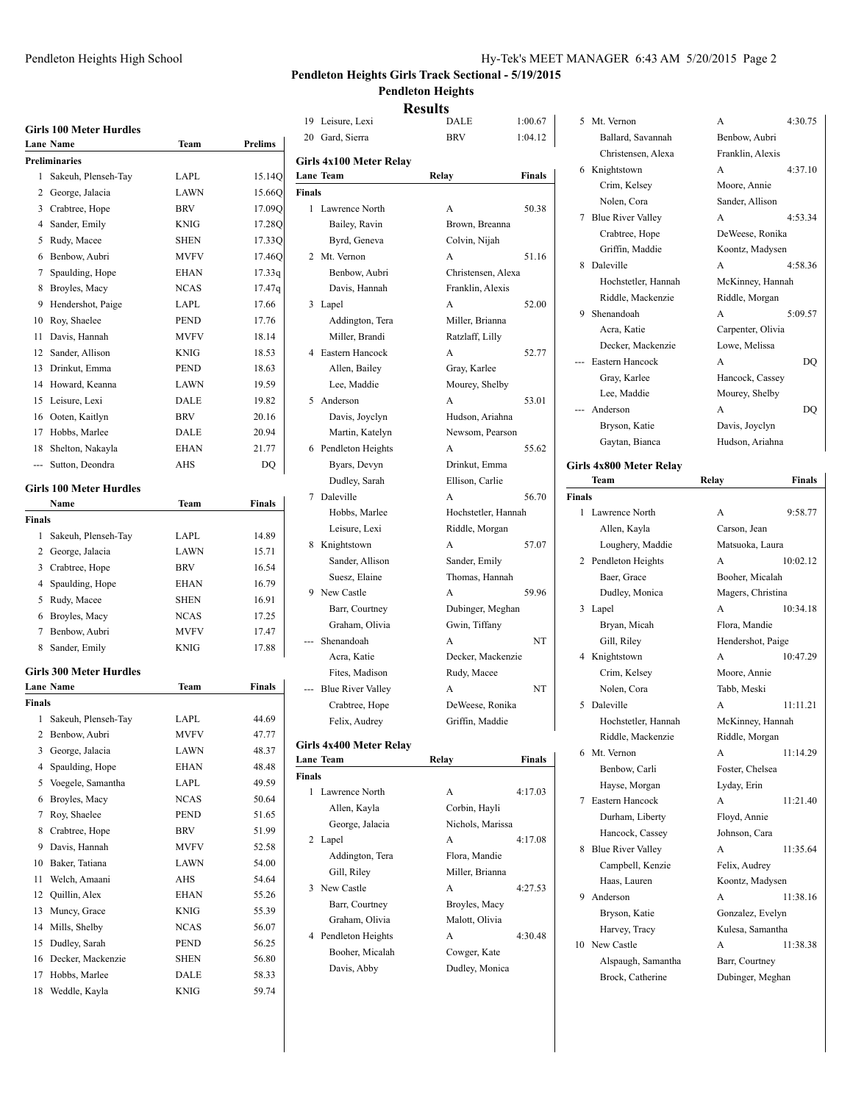### Pendleton Heights High School Hy-Tek's MEET MANAGER 6:43 AM 5/20/2015 Page 2

#### **Pendleton Heights Girls Track Sectional - 5/19/2015 Pendleton Heights**

**Results**

|               | <b>Girls 100 Meter Hurdles</b> |              |                | 19<br>Leist      |
|---------------|--------------------------------|--------------|----------------|------------------|
|               | <b>Lane Name</b>               | Team         | Prelims        | 20<br>Gard       |
|               | <b>Preliminaries</b>           |              |                | Girls 4x1        |
| 1             | Sakeuh, Plenseh-Tay            | LAPL         | 15.14Q         | <b>Lane Tean</b> |
|               | 2 George, Jalacia              | <b>LAWN</b>  | 15.66Q         | Finals           |
|               | 3 Crabtree, Hope               | <b>BRV</b>   | 17.09Q         | 1<br>Lawr        |
|               | 4 Sander, Emily                | KNIG         | 17.28Q         | Ba               |
| 5             | Rudy, Macee                    | <b>SHEN</b>  | 17.33Q         | Вy               |
| 6             | Benbow, Aubri                  | <b>MVFV</b>  | 17.46Q         | 2 Mt. V          |
| 7             | Spaulding, Hope                | <b>EHAN</b>  | 17.33q         | <b>Be</b>        |
| 8             | Broyles, Macy                  | <b>NCAS</b>  | 17.47q         | Da               |
| 9             | Hendershot, Paige              | LAPL         | 17.66          | 3<br>Lape        |
| 10            | Roy, Shaelee                   | PEND         | 17.76          | Ad               |
| 11            | Davis, Hannah                  | <b>MVFV</b>  | 18.14          | Mi               |
| 12            | Sander, Allison                | KNIG         | 18.53          | 4<br>Easte       |
| 13            | Drinkut, Emma                  | PEND         | 18.63          | All              |
| 14            | Howard, Keanna                 | LAWN         | 19.59          | Le               |
| 15            | Leisure, Lexi                  | DALE         | 19.82          | 5<br>Ande        |
| 16            | Ooten, Kaitlyn                 | <b>BRV</b>   | 20.16          | Da               |
| 17            | Hobbs, Marlee                  | DALE         | 20.94          | Mε               |
| 18            | Shelton, Nakayla               | EHAN         | 21.77          | 6<br>Pend        |
| $\cdots$      | Sutton, Deondra                | AHS          | DQ             | Вy               |
|               |                                |              |                | Du               |
|               | <b>Girls 100 Meter Hurdles</b> |              |                | Dale<br>7        |
|               | Name                           | Team         | <b>Finals</b>  | Ho               |
| Finals        |                                |              |                | Le               |
| 1             | Sakeuh, Plenseh-Tay            | LAPL         | 14.89          | 8<br>Knig        |
|               | 2 George, Jalacia              | <b>LAWN</b>  | 15.71          | Sai              |
|               | 3 Crabtree, Hope               | <b>BRV</b>   | 16.54          | Su               |
|               | 4 Spaulding, Hope              | EHAN         | 16.79          | 9<br>New         |
|               | 5 Rudy, Macee                  | <b>SHEN</b>  | 16.91          | Ba               |
| 6             | Broyles, Macy                  | NCAS         | 17.25          | Gr               |
|               | 7 Benbow, Aubri                | MVFV         | 17.47          | Shen             |
|               | 8 Sander, Emily                | <b>KNIG</b>  | 17.88          | Ac               |
|               | <b>Girls 300 Meter Hurdles</b> |              |                | Fit              |
|               | <b>Lane Name</b>               | Team         | Finals         | Blue             |
| <b>Finals</b> |                                |              |                | Cr               |
| 1             | Sakeuh, Plenseh-Tay            | LAPL         | 44.69          | Fel              |
|               | 2 Benbow, Aubri                | <b>MVFV</b>  | 47.77          |                  |
|               | 3 George, Jalacia              | LAWN         | 48.37          | Girls 4x4        |
| 4             | Spaulding, Hope                | EHAN         | 48.48          | <b>Lane Tean</b> |
| 5             | Voegele, Samantha              | LAPL         | 49.59          | Finals           |
| 6             | Broyles, Macy                  | <b>NCAS</b>  | 50.64          | 1<br>Lawr        |
| 7             | Roy, Shaelee                   | PEND         | 51.65          | All              |
| 8             | Crabtree, Hope                 | <b>BRV</b>   | 51.99          | Ge               |
| 9             | Davis, Hannah                  | MVFV         | 52.58          | 2<br>Lape        |
| 10            | Baker, Tatiana                 | LAWN         | 54.00          | Ad               |
| 11            | Welch, Amaani                  | AHS          | 54.64          | Gil              |
| 12            | Quillin, Alex                  | <b>EHAN</b>  | 55.26          | 3<br>New         |
| 13            | Muncy, Grace                   | <b>KNIG</b>  | 55.39          | Ba               |
| 14            | Mills, Shelby                  | <b>NCAS</b>  |                | Gr               |
| 15            | Dudley, Sarah                  |              | 56.07          | 4<br>Pend        |
|               |                                | PEND         | 56.25          | Bo               |
| 16            | Decker, Mackenzie              | SHEN         | 56.80          | Da               |
| 17<br>18      | Hobbs, Marlee<br>Weddle, Kayla | DALE<br>KNIG | 58.33<br>59.74 |                  |
|               |                                |              |                |                  |

|        |                          | results             |         |        |
|--------|--------------------------|---------------------|---------|--------|
| 19     | Leisure, Lexi            | DALE                | 1:00.67 | 5      |
|        | 20 Gard, Sierra          | BRV                 | 1:04.12 |        |
|        | Girls 4x100 Meter Relay  |                     |         | 6      |
|        | <b>Lane Team</b>         | Relay               | Finals  |        |
| Finals |                          |                     |         |        |
| 1      | Lawrence North           | A                   | 50.38   | 7      |
|        | Bailey, Ravin            | Brown, Breanna      |         |        |
|        | Byrd, Geneva             | Colvin, Nijah       |         |        |
| 2      | Mt. Vernon               | A                   | 51.16   | 8      |
|        | Benbow, Aubri            | Christensen, Alexa  |         |        |
|        | Davis, Hannah            | Franklin, Alexis    |         |        |
| 3      | Lapel                    | A                   | 52.00   | 9      |
|        | Addington, Tera          | Miller, Brianna     |         |        |
|        | Miller, Brandi           | Ratzlaff, Lilly     |         |        |
| 4      | Eastern Hancock          | A                   | 52.77   |        |
|        | Allen, Bailey            | Gray, Karlee        |         |        |
|        | Lee, Maddie              | Mourey, Shelby      |         |        |
| 5      | Anderson                 | A                   | 53.01   |        |
|        | Davis, Joyclyn           | Hudson, Ariahna     |         |        |
|        | Martin, Katelyn          | Newsom, Pearson     |         |        |
| 6      | Pendleton Heights        | A                   | 55.62   |        |
|        | Byars, Devyn             | Drinkut, Emma       |         | Girls  |
|        | Dudley, Sarah            | Ellison, Carlie     |         |        |
| 7      | Daleville                | A                   | 56.70   | Finals |
|        | Hobbs, Marlee            | Hochstetler, Hannah |         | 1      |
|        | Leisure, Lexi            | Riddle, Morgan      |         |        |
| 8      | Knightstown              | A                   | 57.07   |        |
|        | Sander, Allison          | Sander, Emily       |         | 2      |
|        | Suesz, Elaine            | Thomas, Hannah      |         |        |
| 9      | New Castle               | A                   | 59.96   |        |
|        | Barr, Courtney           | Dubinger, Meghan    |         | 3      |
|        | Graham, Olivia           | Gwin, Tiffany       |         |        |
|        | Shenandoah               | A                   | NT      |        |
|        | Acra, Katie              | Decker, Mackenzie   |         | 4      |
|        | Fites, Madison           | Rudy, Macee         |         |        |
|        | <b>Blue River Valley</b> | А                   | NT      |        |
|        | Crabtree, Hope           | DeWeese, Ronika     |         | 5      |
|        | Felix, Audrey            | Griffin, Maddie     |         |        |
|        | Girls 4x400 Meter Relay  |                     |         | 6      |
|        | <b>Lane Team</b>         | Relay               | Finals  |        |
| Finals |                          |                     |         |        |
| 1      | Lawrence North           | A                   | 4:17.03 | 7      |
|        | Allen, Kayla             | Corbin, Hayli       |         |        |
|        | George, Jalacia          | Nichols, Marissa    |         |        |
| 2      | Lapel                    | A                   | 4:17.08 | 8      |
|        | Addington, Tera          | Flora, Mandie       |         |        |
|        | Gill, Riley              | Miller, Brianna     |         |        |
| 3      | New Castle               | A                   | 4:27.53 | 9      |
|        | Barr, Courtney           | Broyles, Macy       |         |        |
|        | Graham, Olivia           | Malott, Olivia      |         |        |
| 4      | Pendleton Heights        | A                   | 4:30.48 | 10     |
|        | Booher, Micalah          | Cowger, Kate        |         |        |
|        | Davis, Abby              | Dudley, Monica      |         |        |

| 5    | Mt. Vernon                             | A<br>4:30.75                       |
|------|----------------------------------------|------------------------------------|
|      | Ballard, Savannah                      | Benbow, Aubri                      |
|      | Christensen, Alexa                     | Franklin, Alexis                   |
| 6    | Knightstown                            | A<br>4:37.10                       |
|      | Crim, Kelsey                           | Moore, Annie                       |
|      | Nolen, Cora                            | Sander, Allison                    |
| 7    | <b>Blue River Valley</b>               | 4:53.34<br>A                       |
|      | Crabtree, Hope                         | DeWeese, Ronika                    |
|      | Griffin, Maddie                        | Koontz, Madysen                    |
| 8    | Daleville                              | 4:58.36<br>А                       |
|      | Hochstetler, Hannah                    | McKinney, Hannah                   |
|      | Riddle, Mackenzie                      | Riddle, Morgan                     |
| 9    | Shenandoah                             | A<br>5:09.57                       |
|      | Acra, Katie                            | Carpenter, Olivia                  |
|      | Decker, Mackenzie                      | Lowe, Melissa                      |
| ---  | Eastern Hancock                        | DQ<br>А                            |
|      | Gray, Karlee                           | Hancock, Cassey                    |
|      | Lee, Maddie                            | Mourey, Shelby                     |
| ---  | Anderson                               | А                                  |
|      |                                        | DQ                                 |
|      | Bryson, Katie                          | Davis, Joyclyn                     |
|      | Gaytan, Bianca                         | Hudson, Ariahna                    |
|      | irls 4x800 Meter Relay                 |                                    |
|      | Team                                   | <b>Finals</b><br>Relay             |
| nals |                                        |                                    |
|      | 1 Lawrence North                       | 9:58.77<br>A                       |
|      | Allen, Kayla                           | Carson, Jean                       |
|      | Loughery, Maddie                       | Matsuoka, Laura                    |
|      | 2 Pendleton Heights                    | 10:02.12<br>A                      |
|      | Baer, Grace                            | Booher, Micalah                    |
|      | Dudley, Monica                         | Magers, Christina                  |
| 3    | Lapel                                  | A<br>10:34.18                      |
|      | Bryan, Micah                           | Flora, Mandie                      |
|      | Gill, Riley                            | Hendershot, Paige                  |
| 4    | Knightstown                            | A<br>10:47.29                      |
|      | Crim, Kelsey                           | Moore, Annie                       |
|      | Nolen, Cora                            | Tabb, Meski                        |
| 5    | Daleville                              | 11:11.21<br>A                      |
|      | Hochstetler, Hannah                    | McKinney, Hannah                   |
|      | Riddle, Mackenzie                      | Riddle, Morgan                     |
| 6    | Mt. Vernon                             | 11:14.29<br>А                      |
|      | Benbow, Carli                          | Foster, Chelsea                    |
|      | Hayse, Morgan                          | Lyday, Erin                        |
| 7    | Eastern Hancock                        | A<br>11:21.40                      |
|      | Durham, Liberty                        | Floyd, Annie                       |
|      | Hancock, Cassey                        | Johnson, Cara                      |
| 8    | <b>Blue River Valley</b>               | A<br>11:35.64                      |
|      | Campbell, Kenzie                       | Felix, Audrey                      |
|      | Haas, Lauren                           | Koontz, Madysen                    |
|      |                                        |                                    |
| 9    | Anderson                               | A<br>11:38.16                      |
|      |                                        |                                    |
|      | Bryson, Katie                          | Gonzalez, Evelyn                   |
|      | Harvey, Tracy                          | Kulesa, Samantha                   |
| 10   | New Castle                             | A<br>11:38.38                      |
|      | Alspaugh, Samantha<br>Brock, Catherine | Barr, Courtney<br>Dubinger, Meghan |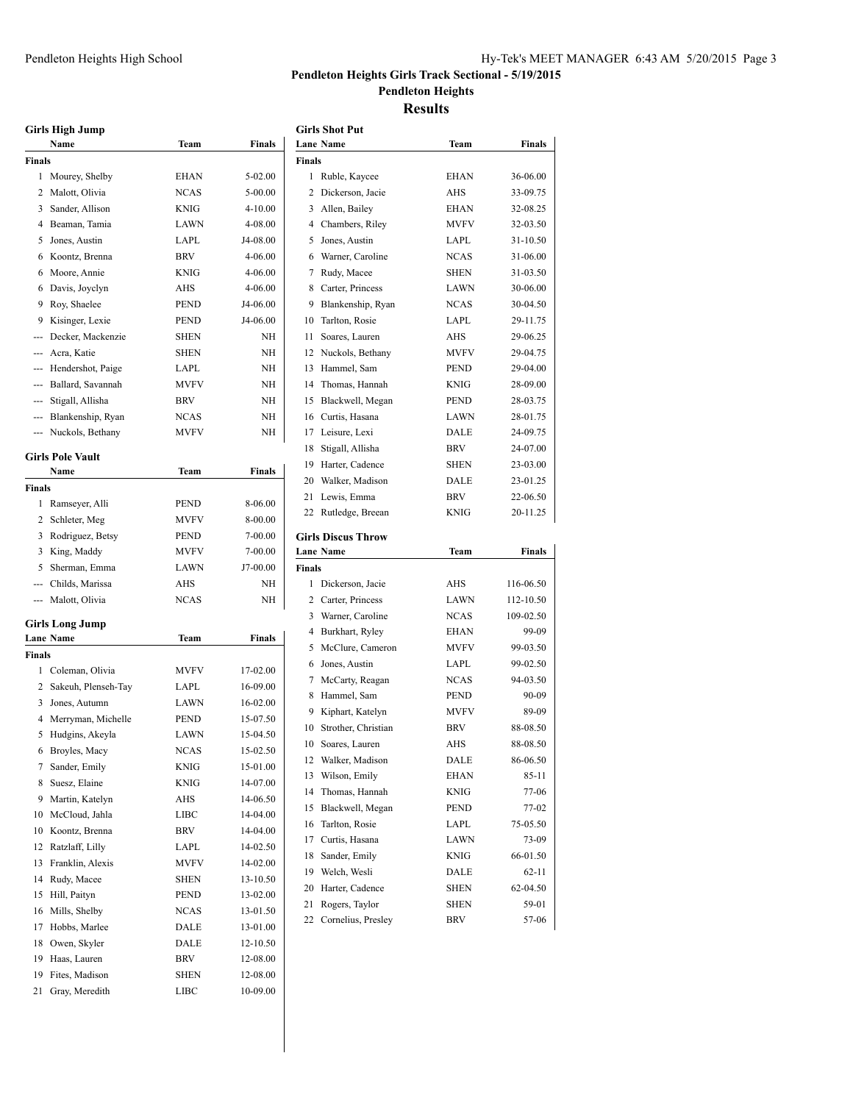#### **Pendleton Heights Girls Track Sectional - 5/19/2015 Pendleton Heights**

#### **Results**

**Girls Shot Put**

|               | <b>Girls High Jump</b>  |             |               |
|---------------|-------------------------|-------------|---------------|
|               | Name                    | Team        | Finals        |
| Finals        |                         |             |               |
| 1             | Mourey, Shelby          | EHAN        | 5-02.00       |
| 2             | Malott, Olivia          | <b>NCAS</b> | 5-00.00       |
| 3             | Sander, Allison         | <b>KNIG</b> | $4 - 10.00$   |
| 4             | Beaman, Tamia           | <b>LAWN</b> | 4-08.00       |
| 5             | Jones, Austin           | LAPL        | J4-08.00      |
| 6             | Koontz, Brenna          | <b>BRV</b>  | 4-06.00       |
| 6             | Moore, Annie            | <b>KNIG</b> | 4-06.00       |
| 6             | Davis, Joyclyn          | AHS         | 4-06.00       |
| 9             | Roy, Shaelee            | <b>PEND</b> | J4-06.00      |
| 9             | Kisinger, Lexie         | <b>PEND</b> | J4-06.00      |
|               | --- Decker, Mackenzie   | SHEN        | NH            |
|               | --- Acra, Katie         | <b>SHEN</b> | NH            |
|               | --- Hendershot, Paige   | LAPL        | NH            |
|               | --- Ballard, Savannah   | <b>MVFV</b> | NH            |
|               | --- Stigall, Allisha    | <b>BRV</b>  | NH            |
|               | --- Blankenship, Ryan   | <b>NCAS</b> | NH            |
|               | --- Nuckols, Bethany    | <b>MVFV</b> | NH            |
|               |                         |             |               |
|               | <b>Girls Pole Vault</b> |             |               |
|               | Name                    | Team        | <b>Finals</b> |
| <b>Finals</b> |                         |             |               |
| 1             | Ramseyer, Alli          | PEND        | 8-06.00       |
| 2             | Schleter, Meg           | <b>MVFV</b> | 8-00.00       |
| 3             | Rodriguez, Betsy        | PEND        | 7-00.00       |
| 3             | King, Maddy             | <b>MVFV</b> | 7-00.00       |
| 5             | Sherman, Emma           | <b>LAWN</b> | J7-00.00      |
|               | --- Childs, Marissa     | AHS         | NH            |
|               | --- Malott, Olivia      | <b>NCAS</b> | NH            |
|               | Girls Long Jump         |             |               |
|               | Lane Name               | Team        | <b>Finals</b> |
| Finals        |                         |             |               |
| 1             | Coleman, Olivia         | <b>MVFV</b> | 17-02.00      |
| 2             | Sakeuh, Plenseh-Tay     | LAPL        | 16-09.00      |
| 3             | Jones, Autumn           | LAWN        | 16-02.00      |
| 4             | Merryman, Michelle      | <b>PEND</b> | 15-07.50      |
| 5             | Hudgins, Akeyla         | <b>LAWN</b> | 15-04.50      |
| 6             | Broyles, Macy           | NCAS        | 15-02.50      |
| 7             | Sander, Emily           | KNIG        | 15-01.00      |
| 8             | Suesz, Elaine           | KNIG        | 14-07.00      |
| 9             | Martin, Katelyn         | AHS         | 14-06.50      |
| 10            | McCloud, Jahla          | LIBC        | 14-04.00      |
| 10            | Koontz, Brenna          | BRV         | 14-04.00      |
| 12            | Ratzlaff, Lilly         | LAPL        | 14-02.50      |
| 13            | Franklin, Alexis        | MVFV        | 14-02.00      |
| 14            | Rudy, Macee             | SHEN        | 13-10.50      |
| 15            | Hill, Paityn            | PEND        | 13-02.00      |
| 16            | Mills, Shelby           | NCAS        | 13-01.50      |
| 17            | Hobbs, Marlee           | DALE        | 13-01.00      |
| 18            | Owen, Skyler            | DALE        | 12-10.50      |
| 19            | Haas, Lauren            | BRV         | 12-08.00      |
| 19            | Fites, Madison          | SHEN        | 12-08.00      |
| 21            | Gray, Meredith          | LIBC        | 10-09.00      |
|               |                         |             |               |

|          | <b>Lane Name</b>                     | Team        | Finals         |
|----------|--------------------------------------|-------------|----------------|
| Finals   |                                      |             |                |
| 1        |                                      | EHAN        | 36-06.00       |
| 2        | Ruble, Kaycee                        |             |                |
|          | Dickerson, Jacie                     | AHS         | 33-09.75       |
|          | 3 Allen, Bailey                      | EHAN        | 32-08.25       |
|          | 4 Chambers, Riley                    | MVFV        | 32-03.50       |
| 5        | Jones, Austin                        | LAPL        | 31-10.50       |
|          | 6 Warner, Caroline                   | <b>NCAS</b> | 31-06.00       |
| 7        | Rudy, Macee                          | SHEN        | 31-03.50       |
|          | 8 Carter, Princess                   | LAWN        | 30-06.00       |
| 9.       | Blankenship, Ryan                    | <b>NCAS</b> | 30-04.50       |
| 10       | Tarlton, Rosie                       | LAPL        | 29-11.75       |
| 11       | Soares, Lauren                       | AHS         | 29-06.25       |
| 12       | Nuckols, Bethany                     | MVFV        | 29-04.75       |
| 13.      | Hammel, Sam                          | PEND        | 29-04.00       |
| 14       | Thomas, Hannah                       | KNIG        | 28-09.00       |
| 15       | Blackwell, Megan                     | PEND        | 28-03.75       |
|          | 16 Curtis, Hasana                    | LAWN        | 28-01.75       |
| 17       | Leisure, Lexi                        | DALE        | 24-09.75       |
| 18       | Stigall, Allisha                     | <b>BRV</b>  | 24-07.00       |
| 19       | Harter, Cadence                      | SHEN        | 23-03.00       |
| 20       | Walker, Madison                      | DALE        | 23-01.25       |
| 21       | Lewis, Emma                          | BRV         | 22-06.50       |
| 22       | Rutledge, Breean                     | KNIG        | 20-11.25       |
|          |                                      |             |                |
|          | <b>Girls Discus Throw</b>            |             |                |
|          | <b>Lane Name</b>                     | Team        | Finals         |
| Finals   |                                      |             |                |
| 1        | Dickerson, Jacie                     | AHS         | 116-06.50      |
|          | 2 Carter, Princess                   | LAWN        | 112-10.50      |
| 3        | Warner, Caroline                     | <b>NCAS</b> | 109-02.50      |
| 4        | Burkhart, Ryley                      | EHAN        | 99-09          |
| 5        | McClure, Cameron                     | <b>MVFV</b> | 99-03.50       |
| 6        | Jones, Austin                        | LAPL        | 99-02.50       |
| 7        | McCarty, Reagan                      | <b>NCAS</b> | 94-03.50       |
| 8        | Hammel, Sam                          | <b>PEND</b> | 90-09          |
| 9        | Kiphart, Katelyn                     | <b>MVFV</b> | 89-09          |
| 10       | Strother, Christian                  | BRV         | 88-08.50       |
|          | 10 Soares, Lauren                    | AHS         | 88-08.50       |
|          | 12 Walker, Madison                   | DALE        | 86-06.50       |
|          |                                      |             |                |
| 13       | Wilson, Emily                        | EHAN        | 85-11          |
| 14       | Thomas, Hannah                       | KNIG        | 77-06          |
| 15       | Blackwell, Megan                     | <b>PEND</b> | 77-02          |
| 16       | Tarlton, Rosie                       | LAPL        | 75-05.50       |
| 17       | Curtis, Hasana                       | LAWN        | 73-09          |
| 18       | Sander, Emily                        | KNIG        | 66-01.50       |
| 19       | Welch, Wesli                         | DALE        | 62-11          |
| 20       | Harter, Cadence                      | SHEN        | 62-04.50       |
|          |                                      |             |                |
| 21<br>22 | Rogers, Taylor<br>Cornelius, Presley | SHEN<br>BRV | 59-01<br>57-06 |